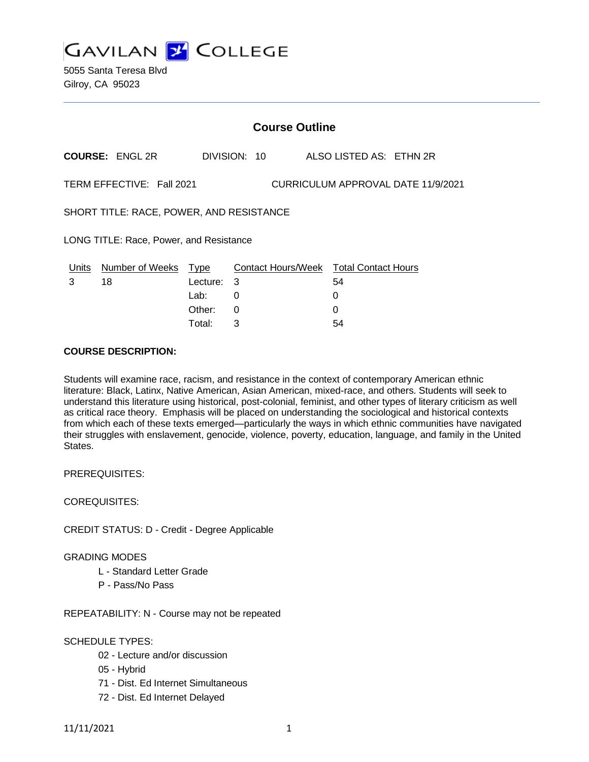**GAVILAN Y COLLEGE** 

5055 Santa Teresa Blvd Gilroy, CA 95023

|                                                                 |                        | <b>Course Outline</b>           |         |  |  |                                                   |  |
|-----------------------------------------------------------------|------------------------|---------------------------------|---------|--|--|---------------------------------------------------|--|
|                                                                 | <b>COURSE: ENGL 2R</b> | DIVISION: 10                    |         |  |  | ALSO LISTED AS: ETHN 2R                           |  |
| TERM EFFECTIVE: Fall 2021<br>CURRICULUM APPROVAL DATE 11/9/2021 |                        |                                 |         |  |  |                                                   |  |
| SHORT TITLE: RACE, POWER, AND RESISTANCE                        |                        |                                 |         |  |  |                                                   |  |
| LONG TITLE: Race, Power, and Resistance                         |                        |                                 |         |  |  |                                                   |  |
| Units<br>3                                                      | Number of Weeks<br>18  | <u>Type</u><br>Lecture:<br>Lab: | -3<br>0 |  |  | Contact Hours/Week Total Contact Hours<br>54<br>0 |  |
|                                                                 |                        | Other:                          | 0       |  |  | 0                                                 |  |

Total: 3 54

#### **COURSE DESCRIPTION:**

Students will examine race, racism, and resistance in the context of contemporary American ethnic literature: Black, Latinx, Native American, Asian American, mixed-race, and others. Students will seek to understand this literature using historical, post-colonial, feminist, and other types of literary criticism as well as critical race theory. Emphasis will be placed on understanding the sociological and historical contexts from which each of these texts emerged—particularly the ways in which ethnic communities have navigated their struggles with enslavement, genocide, violence, poverty, education, language, and family in the United States.

PREREQUISITES:

COREQUISITES:

CREDIT STATUS: D - Credit - Degree Applicable

GRADING MODES

- L Standard Letter Grade
- P Pass/No Pass

REPEATABILITY: N - Course may not be repeated

### SCHEDULE TYPES:

- 02 Lecture and/or discussion
- 05 Hybrid
- 71 Dist. Ed Internet Simultaneous
- 72 Dist. Ed Internet Delayed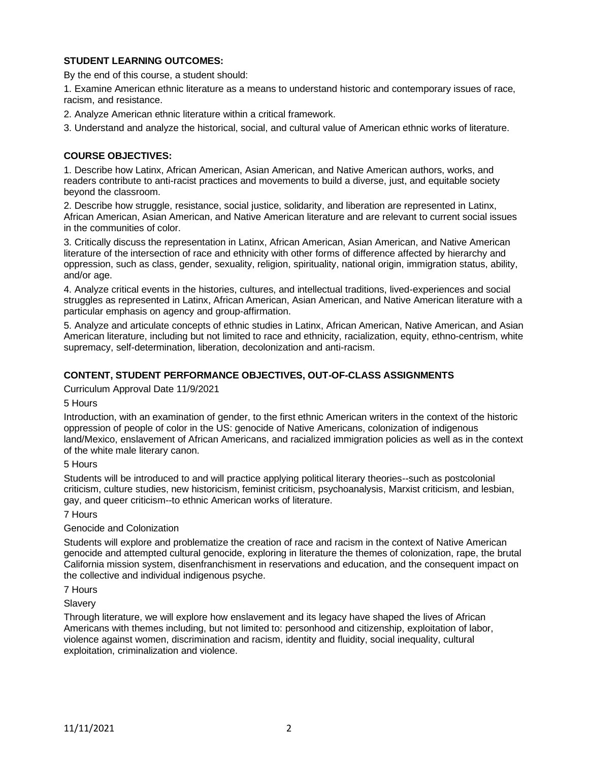# **STUDENT LEARNING OUTCOMES:**

By the end of this course, a student should:

1. Examine American ethnic literature as a means to understand historic and contemporary issues of race, racism, and resistance.

2. Analyze American ethnic literature within a critical framework.

3. Understand and analyze the historical, social, and cultural value of American ethnic works of literature.

### **COURSE OBJECTIVES:**

1. Describe how Latinx, African American, Asian American, and Native American authors, works, and readers contribute to anti-racist practices and movements to build a diverse, just, and equitable society beyond the classroom.

2. Describe how struggle, resistance, social justice, solidarity, and liberation are represented in Latinx, African American, Asian American, and Native American literature and are relevant to current social issues in the communities of color.

3. Critically discuss the representation in Latinx, African American, Asian American, and Native American literature of the intersection of race and ethnicity with other forms of difference affected by hierarchy and oppression, such as class, gender, sexuality, religion, spirituality, national origin, immigration status, ability, and/or age.

4. Analyze critical events in the histories, cultures, and intellectual traditions, lived-experiences and social struggles as represented in Latinx, African American, Asian American, and Native American literature with a particular emphasis on agency and group-affirmation.

5. Analyze and articulate concepts of ethnic studies in Latinx, African American, Native American, and Asian American literature, including but not limited to race and ethnicity, racialization, equity, ethno-centrism, white supremacy, self-determination, liberation, decolonization and anti-racism.

# **CONTENT, STUDENT PERFORMANCE OBJECTIVES, OUT-OF-CLASS ASSIGNMENTS**

Curriculum Approval Date 11/9/2021

#### 5 Hours

Introduction, with an examination of gender, to the first ethnic American writers in the context of the historic oppression of people of color in the US: genocide of Native Americans, colonization of indigenous land/Mexico, enslavement of African Americans, and racialized immigration policies as well as in the context of the white male literary canon.

### 5 Hours

Students will be introduced to and will practice applying political literary theories--such as postcolonial criticism, culture studies, new historicism, feminist criticism, psychoanalysis, Marxist criticism, and lesbian, gay, and queer criticism--to ethnic American works of literature.

7 Hours

### Genocide and Colonization

Students will explore and problematize the creation of race and racism in the context of Native American genocide and attempted cultural genocide, exploring in literature the themes of colonization, rape, the brutal California mission system, disenfranchisment in reservations and education, and the consequent impact on the collective and individual indigenous psyche.

7 Hours

**Slavery** 

Through literature, we will explore how enslavement and its legacy have shaped the lives of African Americans with themes including, but not limited to: personhood and citizenship, exploitation of labor, violence against women, discrimination and racism, identity and fluidity, social inequality, cultural exploitation, criminalization and violence.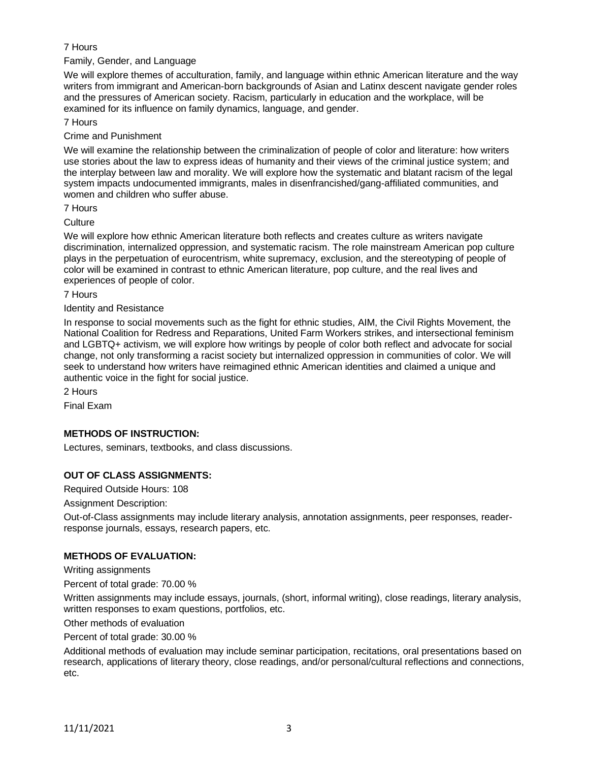# 7 Hours

Family, Gender, and Language

We will explore themes of acculturation, family, and language within ethnic American literature and the way writers from immigrant and American-born backgrounds of Asian and Latinx descent navigate gender roles and the pressures of American society. Racism, particularly in education and the workplace, will be examined for its influence on family dynamics, language, and gender.

7 Hours

Crime and Punishment

We will examine the relationship between the criminalization of people of color and literature: how writers use stories about the law to express ideas of humanity and their views of the criminal justice system; and the interplay between law and morality. We will explore how the systematic and blatant racism of the legal system impacts undocumented immigrants, males in disenfrancished/gang-affiliated communities, and women and children who suffer abuse.

7 Hours

**Culture** 

We will explore how ethnic American literature both reflects and creates culture as writers navigate discrimination, internalized oppression, and systematic racism. The role mainstream American pop culture plays in the perpetuation of eurocentrism, white supremacy, exclusion, and the stereotyping of people of color will be examined in contrast to ethnic American literature, pop culture, and the real lives and experiences of people of color.

7 Hours

Identity and Resistance

In response to social movements such as the fight for ethnic studies, AIM, the Civil Rights Movement, the National Coalition for Redress and Reparations, United Farm Workers strikes, and intersectional feminism and LGBTQ+ activism, we will explore how writings by people of color both reflect and advocate for social change, not only transforming a racist society but internalized oppression in communities of color. We will seek to understand how writers have reimagined ethnic American identities and claimed a unique and authentic voice in the fight for social justice.

2 Hours

Final Exam

### **METHODS OF INSTRUCTION:**

Lectures, seminars, textbooks, and class discussions.

### **OUT OF CLASS ASSIGNMENTS:**

Required Outside Hours: 108

Assignment Description:

Out-of-Class assignments may include literary analysis, annotation assignments, peer responses, readerresponse journals, essays, research papers, etc.

### **METHODS OF EVALUATION:**

Writing assignments

Percent of total grade: 70.00 %

Written assignments may include essays, journals, (short, informal writing), close readings, literary analysis, written responses to exam questions, portfolios, etc.

Other methods of evaluation

Percent of total grade: 30.00 %

Additional methods of evaluation may include seminar participation, recitations, oral presentations based on research, applications of literary theory, close readings, and/or personal/cultural reflections and connections, etc.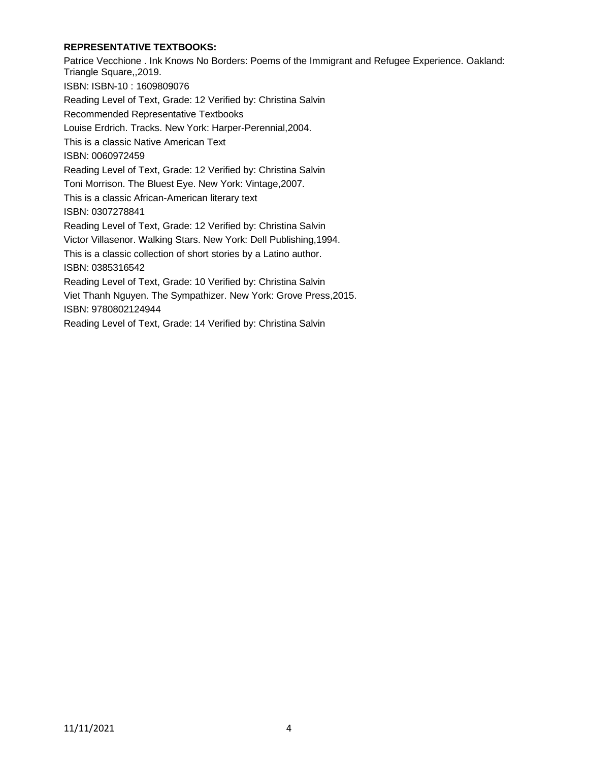# **REPRESENTATIVE TEXTBOOKS:**

Patrice Vecchione . Ink Knows No Borders: Poems of the Immigrant and Refugee Experience. Oakland: Triangle Square,,2019. ISBN: ISBN-10 : 1609809076 Reading Level of Text, Grade: 12 Verified by: Christina Salvin Recommended Representative Textbooks Louise Erdrich. Tracks. New York: Harper-Perennial,2004. This is a classic Native American Text ISBN: 0060972459 Reading Level of Text, Grade: 12 Verified by: Christina Salvin Toni Morrison. The Bluest Eye. New York: Vintage,2007. This is a classic African-American literary text ISBN: 0307278841 Reading Level of Text, Grade: 12 Verified by: Christina Salvin Victor Villasenor. Walking Stars. New York: Dell Publishing,1994. This is a classic collection of short stories by a Latino author. ISBN: 0385316542 Reading Level of Text, Grade: 10 Verified by: Christina Salvin Viet Thanh Nguyen. The Sympathizer. New York: Grove Press,2015. ISBN: 9780802124944 Reading Level of Text, Grade: 14 Verified by: Christina Salvin